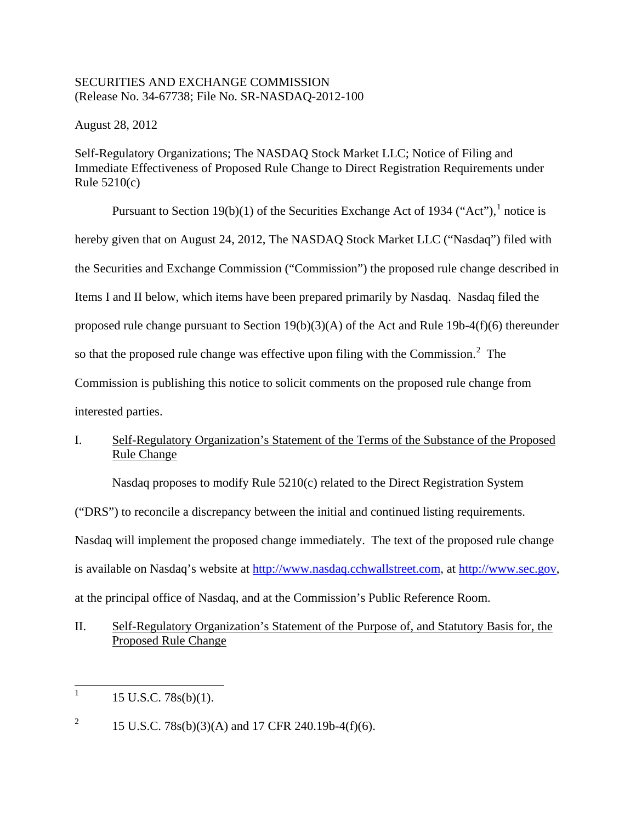## SECURITIES AND EXCHANGE COMMISSION (Release No. 34-67738; File No. SR-NASDAQ-2012-100

August 28, 2012

Self-Regulatory Organizations; The NASDAQ Stock Market LLC; Notice of Filing and Immediate Effectiveness of Proposed Rule Change to Direct Registration Requirements under Rule 5210(c)

Pursuant to Section [1](#page-0-0)9(b)(1) of the Securities Exchange Act of 1934 ("Act").<sup>1</sup> notice is hereby given that on August 24, 2012, The NASDAQ Stock Market LLC ("Nasdaq") filed with the Securities and Exchange Commission ("Commission") the proposed rule change described in Items I and II below, which items have been prepared primarily by Nasdaq. Nasdaq filed the proposed rule change pursuant to Section 19(b)(3)(A) of the Act and Rule 19b-4(f)(6) thereunder so that the proposed rule change was effective upon filing with the Commission. $2$  The Commission is publishing this notice to solicit comments on the proposed rule change from interested parties.

# I. Self-Regulatory Organization's Statement of the Terms of the Substance of the Proposed Rule Change

Nasdaq proposes to modify Rule 5210(c) related to the Direct Registration System

("DRS") to reconcile a discrepancy between the initial and continued listing requirements.

Nasdaq will implement the proposed change immediately. The text of the proposed rule change

is available on Nasdaq's website at [http://www.nasdaq.cchwallstreet.com,](http://www.nasdaq.cchwallstreet.com/) at [http://www.sec.gov,](http://www.sec.gov/)

at the principal office of Nasdaq, and at the Commission's Public Reference Room.

# II. Self-Regulatory Organization's Statement of the Purpose of, and Statutory Basis for, the Proposed Rule Change

<span id="page-0-0"></span> $1 \quad 15 \text{ U.S.C. } 78 \text{s(b)}(1).$ 

<span id="page-0-1"></span><sup>&</sup>lt;sup>2</sup> 15 U.S.C. 78s(b)(3)(A) and 17 CFR 240.19b-4(f)(6).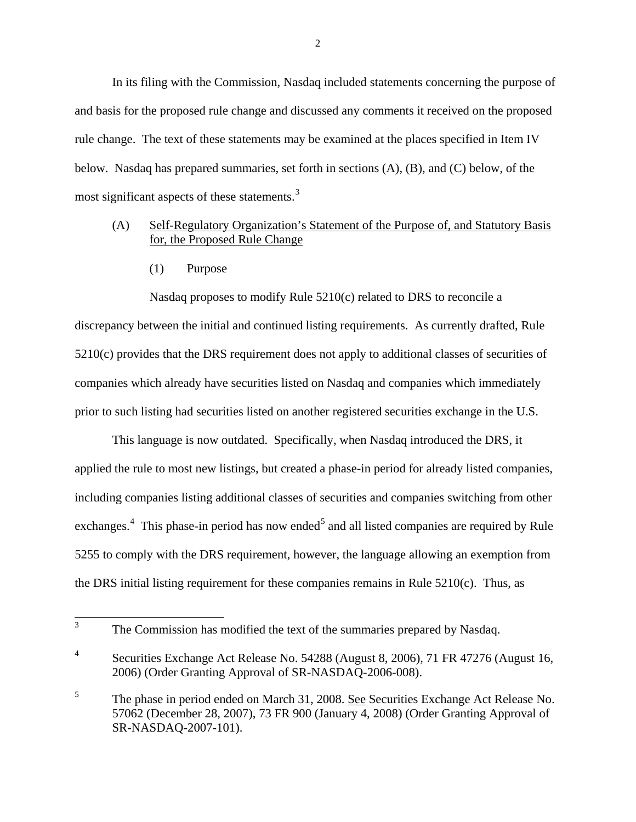In its filing with the Commission, Nasdaq included statements concerning the purpose of and basis for the proposed rule change and discussed any comments it received on the proposed rule change. The text of these statements may be examined at the places specified in Item IV below. Nasdaq has prepared summaries, set forth in sections (A), (B), and (C) below, of the most significant aspects of these statements.<sup>[3](#page-1-0)</sup>

## (A) Self-Regulatory Organization's Statement of the Purpose of, and Statutory Basis for, the Proposed Rule Change

(1) Purpose

Nasdaq proposes to modify Rule 5210(c) related to DRS to reconcile a discrepancy between the initial and continued listing requirements. As currently drafted, Rule 5210(c) provides that the DRS requirement does not apply to additional classes of securities of companies which already have securities listed on Nasdaq and companies which immediately prior to such listing had securities listed on another registered securities exchange in the U.S.

This language is now outdated. Specifically, when Nasdaq introduced the DRS, it applied the rule to most new listings, but created a phase-in period for already listed companies, including companies listing additional classes of securities and companies switching from other exchanges.<sup>[4](#page-1-1)</sup> This phase-in period has now ended<sup>[5](#page-1-2)</sup> and all listed companies are required by Rule 5255 to comply with the DRS requirement, however, the language allowing an exemption from the DRS initial listing requirement for these companies remains in Rule 5210(c). Thus, as

<span id="page-1-0"></span><sup>&</sup>lt;sup>3</sup> The Commission has modified the text of the summaries prepared by Nasdaq.

<span id="page-1-1"></span><sup>&</sup>lt;sup>4</sup> Securities Exchange Act Release No. 54288 (August 8, 2006), 71 FR 47276 (August 16, 2006) (Order Granting Approval of SR-NASDAQ-2006-008).

<span id="page-1-2"></span><sup>&</sup>lt;sup>5</sup> The phase in period ended on March 31, 2008. See Securities Exchange Act Release No. 57062 (December 28, 2007), 73 FR 900 (January 4, 2008) (Order Granting Approval of SR-NASDAQ-2007-101).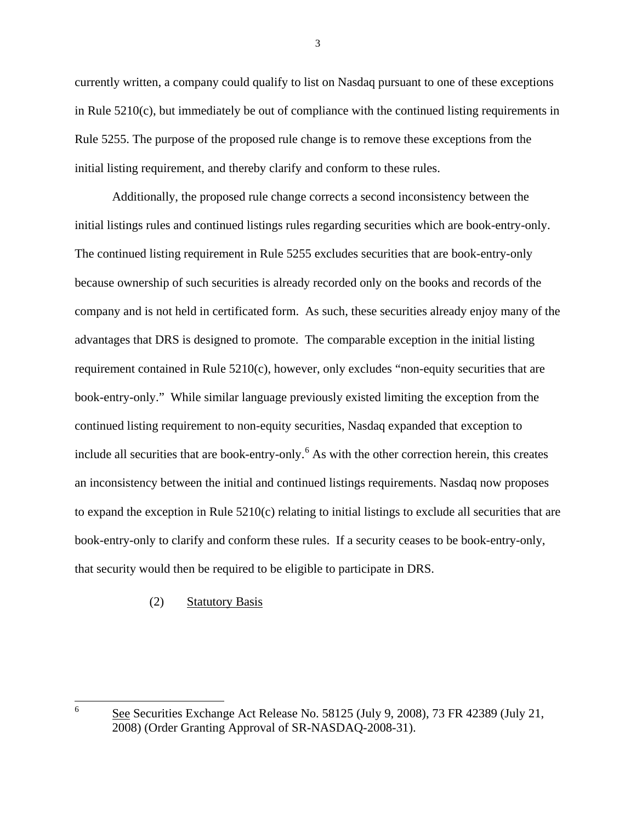currently written, a company could qualify to list on Nasdaq pursuant to one of these exceptions in Rule  $5210(c)$ , but immediately be out of compliance with the continued listing requirements in Rule 5255. The purpose of the proposed rule change is to remove these exceptions from the initial listing requirement, and thereby clarify and conform to these rules.

Additionally, the proposed rule change corrects a second inconsistency between the initial listings rules and continued listings rules regarding securities which are book-entry-only. The continued listing requirement in Rule 5255 excludes securities that are book-entry-only because ownership of such securities is already recorded only on the books and records of the company and is not held in certificated form. As such, these securities already enjoy many of the advantages that DRS is designed to promote. The comparable exception in the initial listing requirement contained in Rule 5210(c), however, only excludes "non-equity securities that are book-entry-only." While similar language previously existed limiting the exception from the continued listing requirement to non-equity securities, Nasdaq expanded that exception to include all securities that are book-entry-only.<sup>[6](#page-2-0)</sup> As with the other correction herein, this creates an inconsistency between the initial and continued listings requirements. Nasdaq now proposes to expand the exception in Rule  $5210(c)$  relating to initial listings to exclude all securities that are book-entry-only to clarify and conform these rules. If a security ceases to be book-entry-only, that security would then be required to be eligible to participate in DRS.

## (2) Statutory Basis

3

<span id="page-2-0"></span> $\frac{6}{5}$  See Securities Exchange Act Release No. 58125 (July 9, 2008), 73 FR 42389 (July 21, 2008) (Order Granting Approval of SR-NASDAQ-2008-31).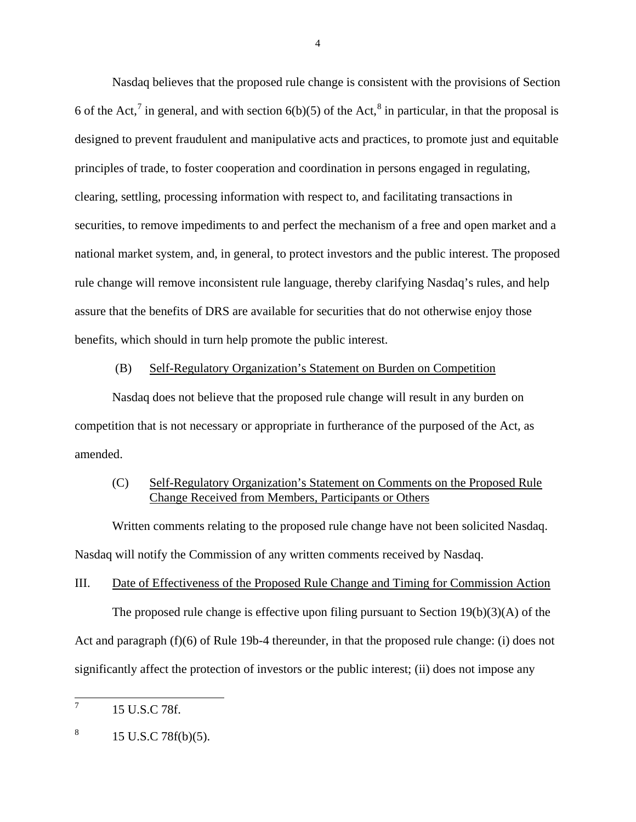Nasdaq believes that the proposed rule change is consistent with the provisions of Section 6 of the Act,<sup>[7](#page-3-0)</sup> in general, and with section  $6(b)(5)$  of the Act,<sup>[8](#page-3-1)</sup> in particular, in that the proposal is designed to prevent fraudulent and manipulative acts and practices, to promote just and equitable principles of trade, to foster cooperation and coordination in persons engaged in regulating, clearing, settling, processing information with respect to, and facilitating transactions in securities, to remove impediments to and perfect the mechanism of a free and open market and a national market system, and, in general, to protect investors and the public interest. The proposed rule change will remove inconsistent rule language, thereby clarifying Nasdaq's rules, and help assure that the benefits of DRS are available for securities that do not otherwise enjoy those benefits, which should in turn help promote the public interest.

### (B) Self-Regulatory Organization's Statement on Burden on Competition

Nasdaq does not believe that the proposed rule change will result in any burden on competition that is not necessary or appropriate in furtherance of the purposed of the Act, as amended.

## (C) Self-Regulatory Organization's Statement on Comments on the Proposed Rule Change Received from Members, Participants or Others

Written comments relating to the proposed rule change have not been solicited Nasdaq. Nasdaq will notify the Commission of any written comments received by Nasdaq.

### III. Date of Effectiveness of the Proposed Rule Change and Timing for Commission Action

The proposed rule change is effective upon filing pursuant to Section 19(b)(3)(A) of the Act and paragraph (f)(6) of Rule 19b-4 thereunder, in that the proposed rule change: (i) does not significantly affect the protection of investors or the public interest; (ii) does not impose any

4

<span id="page-3-0"></span> $^7$  15 U.S.C 78f.

<span id="page-3-1"></span> $8 \t15$  U.S.C 78f(b)(5).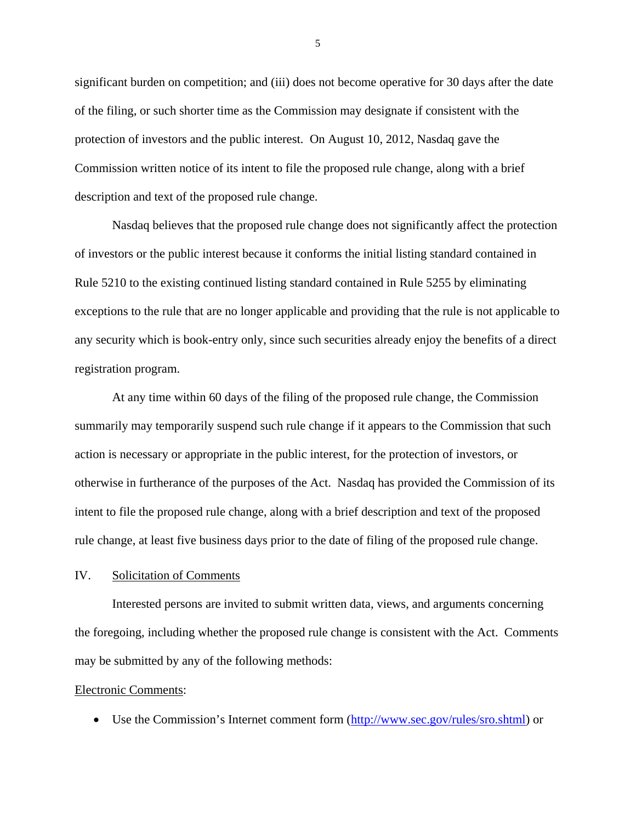significant burden on competition; and (iii) does not become operative for 30 days after the date of the filing, or such shorter time as the Commission may designate if consistent with the protection of investors and the public interest. On August 10, 2012, Nasdaq gave the Commission written notice of its intent to file the proposed rule change, along with a brief description and text of the proposed rule change.

Nasdaq believes that the proposed rule change does not significantly affect the protection of investors or the public interest because it conforms the initial listing standard contained in Rule 5210 to the existing continued listing standard contained in Rule 5255 by eliminating exceptions to the rule that are no longer applicable and providing that the rule is not applicable to any security which is book-entry only, since such securities already enjoy the benefits of a direct registration program.

At any time within 60 days of the filing of the proposed rule change, the Commission summarily may temporarily suspend such rule change if it appears to the Commission that such action is necessary or appropriate in the public interest, for the protection of investors, or otherwise in furtherance of the purposes of the Act. Nasdaq has provided the Commission of its intent to file the proposed rule change, along with a brief description and text of the proposed rule change, at least five business days prior to the date of filing of the proposed rule change.

## IV. Solicitation of Comments

Interested persons are invited to submit written data, views, and arguments concerning the foregoing, including whether the proposed rule change is consistent with the Act. Comments may be submitted by any of the following methods:

#### Electronic Comments:

• Use the Commission's Internet comment form [\(http://www.sec.gov/rules/sro.shtml\)](http://www.sec.gov/rules/sro.shtml) or

5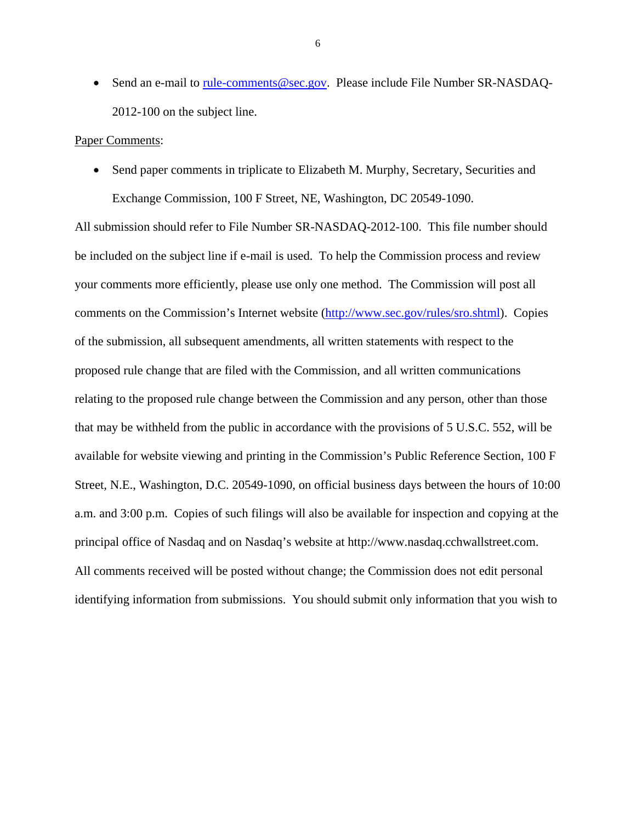• Send an e-mail to [rule-comments@sec.gov.](mailto:rule-comments@sec.gov) Please include File Number SR-NASDAQ-2012-100 on the subject line.

#### Paper Comments:

• Send paper comments in triplicate to Elizabeth M. Murphy, Secretary, Securities and Exchange Commission, 100 F Street, NE, Washington, DC 20549-1090.

All submission should refer to File Number SR-NASDAQ-2012-100. This file number should be included on the subject line if e-mail is used. To help the Commission process and review your comments more efficiently, please use only one method. The Commission will post all comments on the Commission's Internet website [\(http://www.sec.gov/rules/sro.shtml\)](http://www.sec.gov/rules/sro.shtml). Copies of the submission, all subsequent amendments, all written statements with respect to the proposed rule change that are filed with the Commission, and all written communications relating to the proposed rule change between the Commission and any person, other than those that may be withheld from the public in accordance with the provisions of 5 U.S.C. 552, will be available for website viewing and printing in the Commission's Public Reference Section, 100 F Street, N.E., Washington, D.C. 20549-1090, on official business days between the hours of 10:00 a.m. and 3:00 p.m. Copies of such filings will also be available for inspection and copying at the principal office of Nasdaq and on Nasdaq's website at http://www.nasdaq.cchwallstreet.com. All comments received will be posted without change; the Commission does not edit personal identifying information from submissions. You should submit only information that you wish to